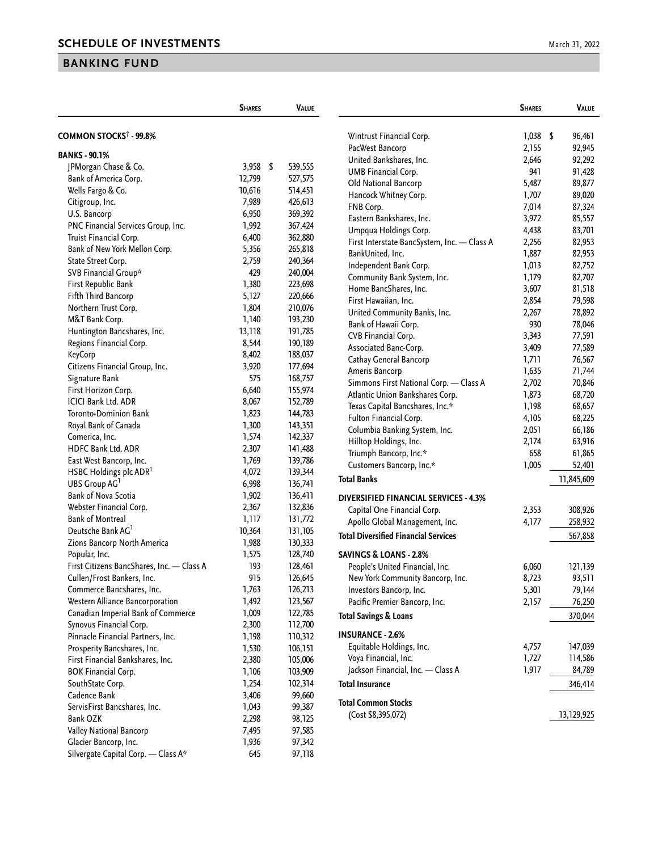## **BANKING FUND**

|                                                            | <b>SHARES</b>  | <b>VALUE</b>       |                                                                     | <b>SHARES</b> | Value      |
|------------------------------------------------------------|----------------|--------------------|---------------------------------------------------------------------|---------------|------------|
| <b>COMMON STOCKS<sup>†</sup> - 99.8%</b>                   |                |                    | Wintrust Financial Corp.                                            | $1,038$ \$    | 96,461     |
|                                                            |                |                    | PacWest Bancorp                                                     | 2,155         | 92,945     |
| <b>BANKS - 90.1%</b>                                       |                |                    | United Bankshares, Inc.                                             | 2,646         | 92,292     |
| JPMorgan Chase & Co.                                       | 3,958 \$       | 539,555            | UMB Financial Corp.                                                 | 941           | 91,428     |
| Bank of America Corp.                                      | 12,799         | 527,575            | Old National Bancorp                                                | 5,487         | 89,877     |
| Wells Fargo & Co.                                          | 10,616         | 514,451            | Hancock Whitney Corp.                                               | 1,707         | 89,020     |
| Citigroup, Inc.                                            | 7,989          | 426,613            | FNB Corp.                                                           | 7,014         | 87,324     |
| U.S. Bancorp                                               | 6,950          | 369,392            | Eastern Bankshares, Inc.                                            | 3,972         | 85,557     |
| PNC Financial Services Group, Inc.                         | 1,992          | 367,424            | Umpqua Holdings Corp.                                               | 4,438         | 83,701     |
| Truist Financial Corp.                                     | 6,400          | 362,880            | First Interstate BancSystem, Inc. - Class A                         | 2,256         | 82,953     |
| Bank of New York Mellon Corp.                              | 5,356          | 265,818            | BankUnited, Inc.                                                    | 1,887         | 82,953     |
| State Street Corp.                                         | 2,759          | 240,364            | Independent Bank Corp.                                              | 1,013         | 82,752     |
| SVB Financial Group*                                       | 429            | 240,004            | Community Bank System, Inc.                                         | 1,179         | 82,707     |
| First Republic Bank                                        | 1,380          | 223,698            | Home BancShares, Inc.                                               | 3,607         | 81,518     |
| Fifth Third Bancorp                                        | 5,127          | 220,666            | First Hawaiian, Inc.                                                | 2,854         | 79,598     |
| Northern Trust Corp.                                       | 1,804          | 210,076            | United Community Banks, Inc.                                        | 2,267         | 78,892     |
| M&T Bank Corp.                                             | 1,140          | 193,230            | Bank of Hawaii Corp.                                                | 930           | 78,046     |
| Huntington Bancshares, Inc.                                | 13,118         | 191,785            | CVB Financial Corp.                                                 | 3,343         | 77,591     |
| Regions Financial Corp.                                    | 8,544          | 190,189            |                                                                     |               |            |
| KeyCorp                                                    | 8,402          | 188,037            | Associated Banc-Corp.                                               | 3,409         | 77,589     |
| Citizens Financial Group, Inc.                             | 3,920          | 177,694            | Cathay General Bancorp                                              | 1,711         | 76,567     |
| Signature Bank                                             | 575            | 168,757            | Ameris Bancorp                                                      | 1,635         | 71,744     |
| First Horizon Corp.                                        | 6,640          | 155,974            | Simmons First National Corp. - Class A                              | 2,702         | 70,846     |
| <b>ICICI Bank Ltd. ADR</b>                                 | 8,067          | 152,789            | Atlantic Union Bankshares Corp.                                     | 1,873         | 68,720     |
| Toronto-Dominion Bank                                      | 1,823          | 144,783            | Texas Capital Bancshares, Inc.*                                     | 1,198         | 68,657     |
| Royal Bank of Canada                                       | 1,300          | 143,351            | Fulton Financial Corp.                                              | 4,105         | 68,225     |
| Comerica, Inc.                                             | 1,574          | 142,337            | Columbia Banking System, Inc.                                       | 2,051         | 66,186     |
| HDFC Bank Ltd. ADR                                         | 2,307          | 141,488            | Hilltop Holdings, Inc.                                              | 2,174         | 63,916     |
| East West Bancorp, Inc.                                    | 1,769          | 139,786            | Triumph Bancorp, Inc.*                                              | 658           | 61,865     |
| HSBC Holdings plc ADR <sup>1</sup>                         | 4,072          | 139,344            | Customers Bancorp, Inc.*                                            | 1,005         | 52,401     |
| UBS Group AG                                               | 6,998          | 136,741            | <b>Total Banks</b>                                                  |               | 11,845,609 |
| Bank of Nova Scotia                                        | 1,902          | 136,411            |                                                                     |               |            |
| Webster Financial Corp.                                    | 2,367          | 132,836            | <b>DIVERSIFIED FINANCIAL SERVICES - 4.3%</b>                        |               |            |
| <b>Bank of Montreal</b>                                    | 1,117          | 131,772            | Capital One Financial Corp.                                         | 2,353         | 308,926    |
| Deutsche Bank AG <sup>1</sup>                              | 10,364         | 131,105            | Apollo Global Management, Inc.                                      | 4,177         | 258,932    |
| Zions Bancorp North America                                | 1,988          | 130,333            | <b>Total Diversified Financial Services</b>                         |               | 567,858    |
|                                                            | 1,575          | 128,740            | <b>SAVINGS &amp; LOANS - 2.8%</b>                                   |               |            |
| Popular, Inc.<br>First Citizens BancShares, Inc. - Class A | 193            | 128,461            |                                                                     |               |            |
| Cullen/Frost Bankers, Inc.                                 | 915            | 126,645            | People's United Financial, Inc.<br>New York Community Bancorp, Inc. | 6,060         | 121,139    |
| Commerce Bancshares, Inc.                                  |                |                    |                                                                     | 8,723         | 93,511     |
| Western Alliance Bancorporation                            | 1,763          | 126,213<br>123,567 | Investors Bancorp, Inc.                                             | 5,301         | 79,144     |
| Canadian Imperial Bank of Commerce                         | 1,492<br>1,009 | 122,785            | Pacific Premier Bancorp, Inc.                                       | 2,157         | 76,250     |
|                                                            |                |                    | <b>Total Savings &amp; Loans</b>                                    |               | 370,044    |
| Synovus Financial Corp.                                    | 2,300          | 112,700            | <b>INSURANCE - 2.6%</b>                                             |               |            |
| Pinnacle Financial Partners, Inc.                          | 1,198          | 110,312            | Equitable Holdings, Inc.                                            | 4,757         | 147,039    |
| Prosperity Bancshares, Inc.                                | 1,530          | 106,151            | Voya Financial, Inc.                                                | 1,727         | 114,586    |
| First Financial Bankshares, Inc.                           | 2,380          | 105,006            | Jackson Financial, Inc. - Class A                                   | 1,917         | 84,789     |
| <b>BOK Financial Corp.</b>                                 | 1,106          | 103,909            |                                                                     |               |            |
| SouthState Corp.                                           | 1,254          | 102,314            | <b>Total Insurance</b>                                              |               | 346,414    |
| Cadence Bank                                               | 3,406          | 99,660             | <b>Total Common Stocks</b>                                          |               |            |
| ServisFirst Bancshares, Inc.                               | 1,043          | 99,387             | (Cost \$8,395,072)                                                  |               | 13,129,925 |
| Bank OZK                                                   | 2,298          | 98,125             |                                                                     |               |            |
| Valley National Bancorp                                    | 7,495          | 97,585             |                                                                     |               |            |
| Glacier Bancorp, Inc.                                      | 1,936          | 97,342             |                                                                     |               |            |
| Silvergate Capital Corp. - Class A*                        | 645            | 97,118             |                                                                     |               |            |